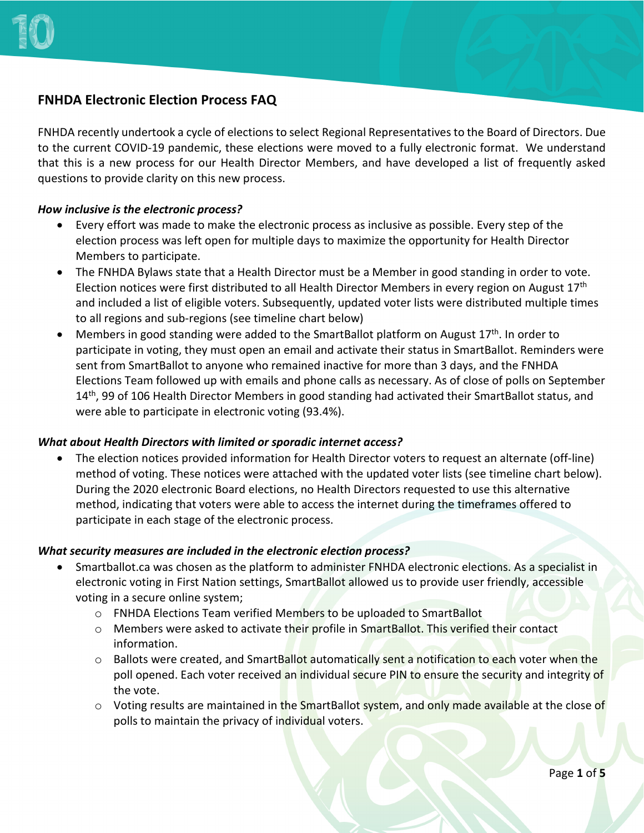# **FNHDA Electronic Election Process FAQ**

FNHDA recently undertook a cycle of elections to select Regional Representatives to the Board of Directors. Due to the current COVID-19 pandemic, these elections were moved to a fully electronic format. We understand that this is a new process for our Health Director Members, and have developed a list of frequently asked questions to provide clarity on this new process.

#### *How inclusive is the electronic process?*

- Every effort was made to make the electronic process as inclusive as possible. Every step of the election process was left open for multiple days to maximize the opportunity for Health Director Members to participate.
- The FNHDA Bylaws state that a Health Director must be a Member in good standing in order to vote. Election notices were first distributed to all Health Director Members in every region on August  $17<sup>th</sup>$ and included a list of eligible voters. Subsequently, updated voter lists were distributed multiple times to all regions and sub-regions (see timeline chart below)
- Members in good standing were added to the SmartBallot platform on August  $17<sup>th</sup>$ . In order to participate in voting, they must open an email and activate their status in SmartBallot. Reminders were sent from SmartBallot to anyone who remained inactive for more than 3 days, and the FNHDA Elections Team followed up with emails and phone calls as necessary. As of close of polls on September 14<sup>th</sup>, 99 of 106 Health Director Members in good standing had activated their SmartBallot status, and were able to participate in electronic voting (93.4%).

#### *What about Health Directors with limited or sporadic internet access?*

• The election notices provided information for Health Director voters to request an alternate (off-line) method of voting. These notices were attached with the updated voter lists (see timeline chart below). During the 2020 electronic Board elections, no Health Directors requested to use this alternative method, indicating that voters were able to access the internet during the timeframes offered to participate in each stage of the electronic process.

#### *What security measures are included in the electronic election process?*

- Smartballot.ca was chosen as the platform to administer FNHDA electronic elections. As a specialist in electronic voting in First Nation settings, SmartBallot allowed us to provide user friendly, accessible voting in a secure online system;
	- o FNHDA Elections Team verified Members to be uploaded to SmartBallot
	- $\circ$  Members were asked to activate their profile in SmartBallot. This verified their contact information.
	- o Ballots were created, and SmartBallot automatically sent a notification to each voter when the poll opened. Each voter received an individual secure PIN to ensure the security and integrity of the vote.
	- o Voting results are maintained in the SmartBallot system, and only made available at the close of polls to maintain the privacy of individual voters.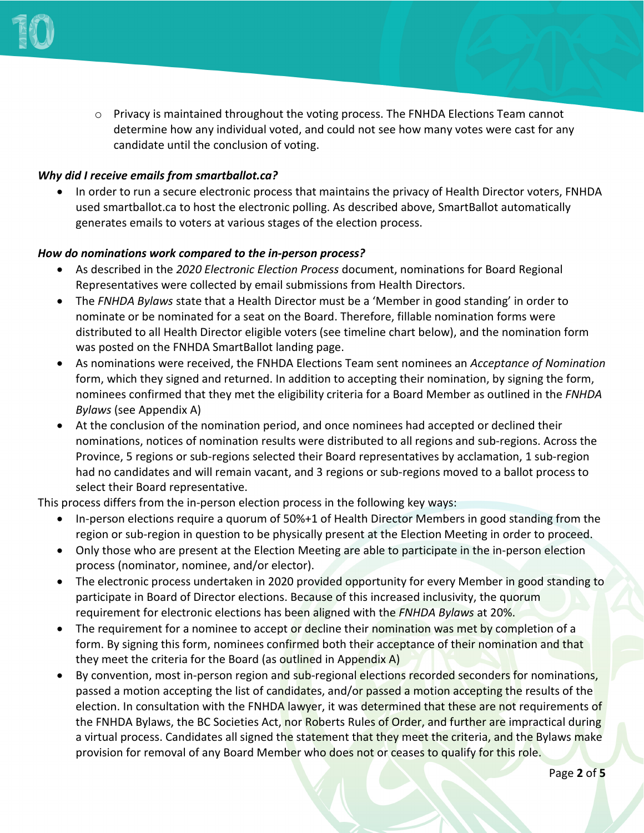

 $\circ$  Privacy is maintained throughout the voting process. The FNHDA Elections Team cannot determine how any individual voted, and could not see how many votes were cast for any candidate until the conclusion of voting.

#### *Why did I receive emails from smartballot.ca?*

• In order to run a secure electronic process that maintains the privacy of Health Director voters, FNHDA used smartballot.ca to host the electronic polling. As described above, SmartBallot automatically generates emails to voters at various stages of the election process.

#### *How do nominations work compared to the in-person process?*

- As described in the *2020 Electronic Election Process* document, nominations for Board Regional Representatives were collected by email submissions from Health Directors.
- The *FNHDA Bylaws* state that a Health Director must be a 'Member in good standing' in order to nominate or be nominated for a seat on the Board. Therefore, fillable nomination forms were distributed to all Health Director eligible voters (see timeline chart below), and the nomination form was posted on the FNHDA SmartBallot landing page.
- As nominations were received, the FNHDA Elections Team sent nominees an *Acceptance of Nomination* form, which they signed and returned. In addition to accepting their nomination, by signing the form, nominees confirmed that they met the eligibility criteria for a Board Member as outlined in the *FNHDA Bylaws* (see Appendix A)
- At the conclusion of the nomination period, and once nominees had accepted or declined their nominations, notices of nomination results were distributed to all regions and sub-regions. Across the Province, 5 regions or sub-regions selected their Board representatives by acclamation, 1 sub-region had no candidates and will remain vacant, and 3 regions or sub-regions moved to a ballot process to select their Board representative.

This process differs from the in-person election process in the following key ways:

- In-person elections require a quorum of 50%+1 of Health Director Members in good standing from the region or sub-region in question to be physically present at the Election Meeting in order to proceed.
- Only those who are present at the Election Meeting are able to participate in the in-person election process (nominator, nominee, and/or elector).
- The electronic process undertaken in 2020 provided opportunity for every Member in good standing to participate in Board of Director elections. Because of this increased inclusivity, the quorum requirement for electronic elections has been aligned with the *FNHDA Bylaws* at 20%.
- The requirement for a nominee to accept or decline their nomination was met by completion of a form. By signing this form, nominees confirmed both their acceptance of their nomination and that they meet the criteria for the Board (as outlined in Appendix A)
- By convention, most in-person region and sub-regional elections recorded seconders for nominations, passed a motion accepting the list of candidates, and/or passed a motion accepting the results of the election. In consultation with the FNHDA lawyer, it was determined that these are not requirements of the FNHDA Bylaws, the BC Societies Act, nor Roberts Rules of Order, and further are impractical during a virtual process. Candidates all signed the statement that they meet the criteria, and the Bylaws make provision for removal of any Board Member who does not or ceases to qualify for this role.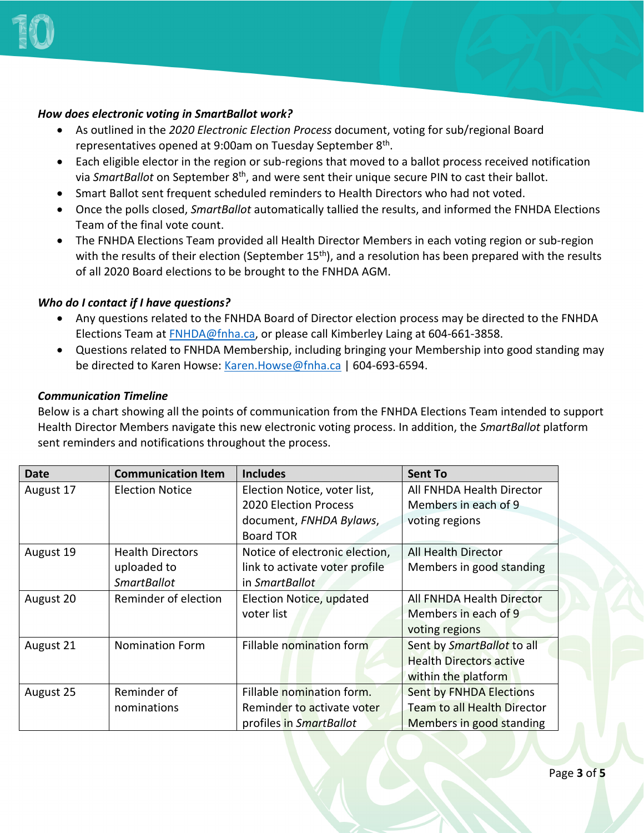

### *How does electronic voting in SmartBallot work?*

- As outlined in the *2020 Electronic Election Process* document, voting for sub/regional Board representatives opened at 9:00am on Tuesday September 8<sup>th</sup>.
- Each eligible elector in the region or sub-regions that moved to a ballot process received notification via *SmartBallot* on September 8<sup>th</sup>, and were sent their unique secure PIN to cast their ballot.
- Smart Ballot sent frequent scheduled reminders to Health Directors who had not voted.
- Once the polls closed, *SmartBallot* automatically tallied the results, and informed the FNHDA Elections Team of the final vote count.
- The FNHDA Elections Team provided all Health Director Members in each voting region or sub-region with the results of their election (September  $15<sup>th</sup>$ ), and a resolution has been prepared with the results of all 2020 Board elections to be brought to the FNHDA AGM.

#### *Who do I contact if I have questions?*

- Any questions related to the FNHDA Board of Director election process may be directed to the FNHDA Elections Team at [FNHDA@fnha.ca,](mailto:FNHDA@fnha.ca) or please call Kimberley Laing at 604-661-3858.
- Questions related to FNHDA Membership, including bringing your Membership into good standing may be directed to Karen Howse: [Karen.Howse@fnha.ca](mailto:Karen.Howse@fnha.ca) | 604-693-6594.

#### *Communication Timeline*

Below is a chart showing all the points of communication from the FNHDA Elections Team intended to support Health Director Members navigate this new electronic voting process. In addition, the *SmartBallot* platform sent reminders and notifications throughout the process.

| <b>Date</b> | <b>Communication Item</b> | <b>Includes</b>                | <b>Sent To</b>                     |
|-------------|---------------------------|--------------------------------|------------------------------------|
| August 17   | <b>Election Notice</b>    | Election Notice, voter list,   | All FNHDA Health Director          |
|             |                           | <b>2020 Election Process</b>   | Members in each of 9               |
|             |                           | document, FNHDA Bylaws,        | voting regions                     |
|             |                           | <b>Board TOR</b>               |                                    |
| August 19   | <b>Health Directors</b>   | Notice of electronic election, | All Health Director                |
|             | uploaded to               | link to activate voter profile | Members in good standing           |
|             | <b>SmartBallot</b>        | in SmartBallot                 |                                    |
| August 20   | Reminder of election      | Election Notice, updated       | All FNHDA Health Director          |
|             |                           | voter list                     | Members in each of 9               |
|             |                           |                                | voting regions                     |
| August 21   | <b>Nomination Form</b>    | Fillable nomination form       | Sent by SmartBallot to all         |
|             |                           |                                | <b>Health Directors active</b>     |
|             |                           |                                | within the platform                |
| August 25   | Reminder of               | Fillable nomination form.      | <b>Sent by FNHDA Elections</b>     |
|             | nominations               | Reminder to activate voter     | <b>Team to all Health Director</b> |
|             |                           | profiles in SmartBallot        | Members in good standing           |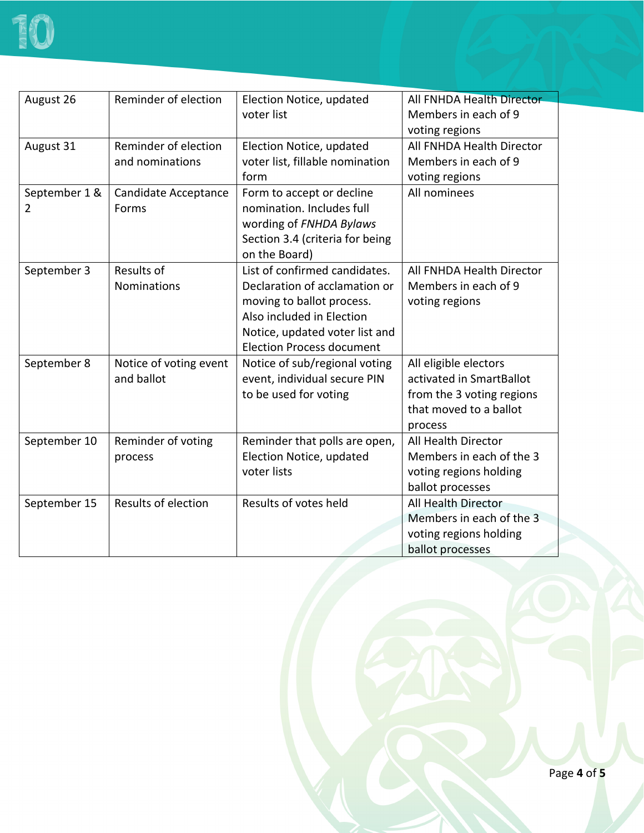

| August 26          | Reminder of election                    | Election Notice, updated<br>voter list                                                                                                                                                         | All FNHDA Health Director<br>Members in each of 9<br>voting regions                                                 |
|--------------------|-----------------------------------------|------------------------------------------------------------------------------------------------------------------------------------------------------------------------------------------------|---------------------------------------------------------------------------------------------------------------------|
| August 31          | Reminder of election<br>and nominations | Election Notice, updated<br>voter list, fillable nomination<br>form                                                                                                                            | All FNHDA Health Director<br>Members in each of 9<br>voting regions                                                 |
| September 1 &<br>2 | Candidate Acceptance<br>Forms           | Form to accept or decline<br>nomination. Includes full<br>wording of FNHDA Bylaws<br>Section 3.4 (criteria for being<br>on the Board)                                                          | All nominees                                                                                                        |
| September 3        | Results of<br><b>Nominations</b>        | List of confirmed candidates.<br>Declaration of acclamation or<br>moving to ballot process.<br>Also included in Election<br>Notice, updated voter list and<br><b>Election Process document</b> | All FNHDA Health Director<br>Members in each of 9<br>voting regions                                                 |
| September 8        | Notice of voting event<br>and ballot    | Notice of sub/regional voting<br>event, individual secure PIN<br>to be used for voting                                                                                                         | All eligible electors<br>activated in SmartBallot<br>from the 3 voting regions<br>that moved to a ballot<br>process |
| September 10       | Reminder of voting<br>process           | Reminder that polls are open,<br>Election Notice, updated<br>voter lists                                                                                                                       | All Health Director<br>Members in each of the 3<br>voting regions holding<br>ballot processes                       |
| September 15       | Results of election                     | Results of votes held                                                                                                                                                                          | All Health Director<br>Members in each of the 3<br>voting regions holding<br>ballot processes                       |